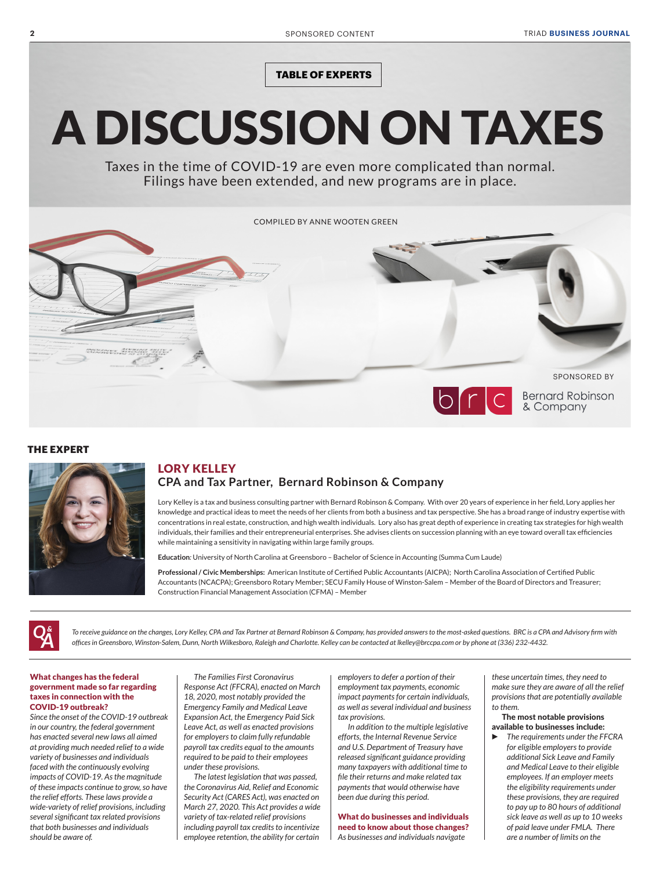**TABLE OF EXPERTS**

# A DISCUSSION ON TAXES

Taxes in the time of COVID-19 are even more complicated than normal. Filings have been extended, and new programs are in place.



#### **THE EXPERT**



### LORY KELLEY **CPA and Tax Partner, Bernard Robinson & Company**

Lory Kelley is a tax and business consulting partner with Bernard Robinson & Company. With over 20 years of experience in her field, Lory applies her knowledge and practical ideas to meet the needs of her clients from both a business and tax perspective. She has a broad range of industry expertise with concentrations in real estate, construction, and high wealth individuals. Lory also has great depth of experience in creating tax strategies for high wealth individuals, their families and their entrepreneurial enterprises. She advises clients on succession planning with an eye toward overall tax efficiencies while maintaining a sensitivity in navigating within large family groups.

**Education***:* University of North Carolina at Greensboro – Bachelor of Science in Accounting (Summa Cum Laude)

**Professional / Civic Memberships:** American Institute of Certified Public Accountants (AICPA); North Carolina Association of Certified Public Accountants (NCACPA); Greensboro Rotary Member; SECU Family House of Winston-Salem – Member of the Board of Directors and Treasurer; Construction Financial Management Association (CFMA) – Member



*To receive guidance on the changes, Lory Kelley, CPA and Tax Partner at Bernard Robinson & Company, has provided answers to the most-asked questions. BRC is a CPA and Advisory firm with offices in Greensboro, Winston-Salem, Dunn, North Wilkesboro, Raleigh and Charlotte. Kelley can be contacted at lkelley@brccpa.com or by phone at (336) 232-4432.*

#### What changes has the federal government made so far regarding taxes in connection with the COVID-19 outbreak?

*Since the onset of the COVID-19 outbreak in our country, the federal government has enacted several new laws all aimed at providing much needed relief to a wide variety of businesses and individuals faced with the continuously evolving impacts of COVID-19. As the magnitude of these impacts continue to grow, so have the relief efforts. These laws provide a wide-variety of relief provisions, including several significant tax related provisions that both businesses and individuals should be aware of.*

*The Families First Coronavirus Response Act (FFCRA), enacted on March 18, 2020, most notably provided the Emergency Family and Medical Leave Expansion Act, the Emergency Paid Sick Leave Act, as well as enacted provisions for employers to claim fully refundable payroll tax credits equal to the amounts required to be paid to their employees under these provisions.* 

*The latest legislation that was passed, the Coronavirus Aid, Relief and Economic Security Act (CARES Act), was enacted on March 27, 2020. This Act provides a wide variety of tax-related relief provisions including payroll tax credits to incentivize employee retention, the ability for certain*  *employers to defer a portion of their employment tax payments, economic impact payments for certain individuals, as well as several individual and business tax provisions.*

*In addition to the multiple legislative efforts, the Internal Revenue Service and U.S. Department of Treasury have released significant guidance providing many taxpayers with additional time to file their returns and make related tax payments that would otherwise have been due during this period.* 

What do businesses and individuals need to know about those changes? *As businesses and individuals navigate* 

*these uncertain times, they need to make sure they are aware of all the relief provisions that are potentially available to them.* 

#### The most notable provisions available to businesses include:

R *The requirements under the FFCRA for eligible employers to provide additional Sick Leave and Family and Medical Leave to their eligible employees. If an employer meets the eligibility requirements under these provisions, they are required to pay up to 80 hours of additional sick leave as well as up to 10 weeks of paid leave under FMLA. There are a number of limits on the*